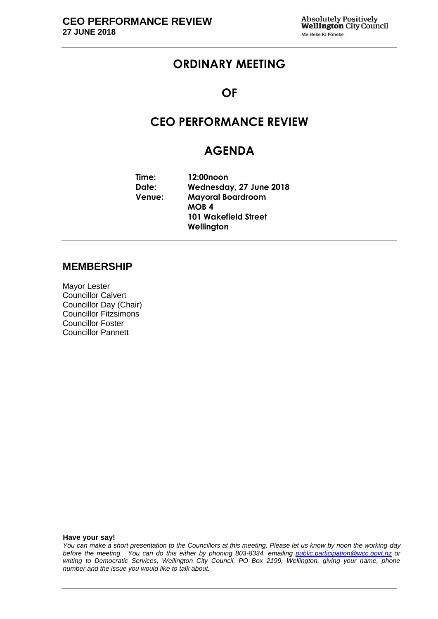# **ORDINARY MEETING**

### **OF**

# **CEO PERFORMANCE REVIEW**

# **AGENDA**

**Time: 12:00noon Date: Wednesday, 27 June 2018 Venue: Mayoral Boardroom MOB 4 101 Wakefield Street Wellington**

#### **MEMBERSHIP**

Mayor Lester Councillor Calvert Councillor Day (Chair) Councillor Fitzsimons Councillor Foster Councillor Pannett

**Have your say!**

*You can make a short presentation to the Councillors at this meeting. Please let us know by noon the working day before the meeting. You can do this either by phoning 803-8334, emailing public.participation@wcc.govt.nz or writing to Democratic Services, Wellington City Council, PO Box 2199, Wellington, giving your name, phone number and the issue you would like to talk about.*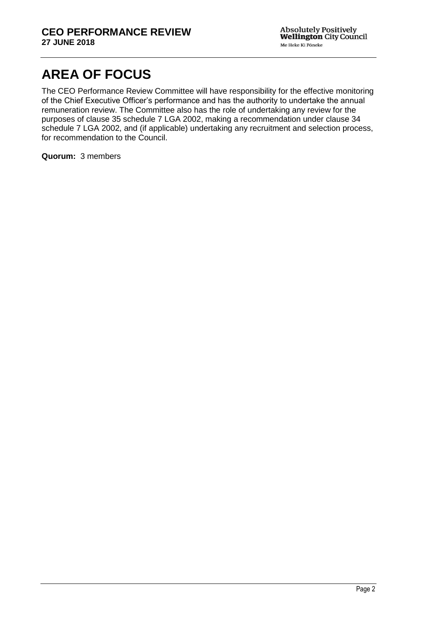# **AREA OF FOCUS**

The CEO Performance Review Committee will have responsibility for the effective monitoring of the Chief Executive Officer's performance and has the authority to undertake the annual remuneration review. The Committee also has the role of undertaking any review for the purposes of clause 35 schedule 7 LGA 2002, making a recommendation under clause 34 schedule 7 LGA 2002, and (if applicable) undertaking any recruitment and selection process, for recommendation to the Council.

**Quorum:** 3 members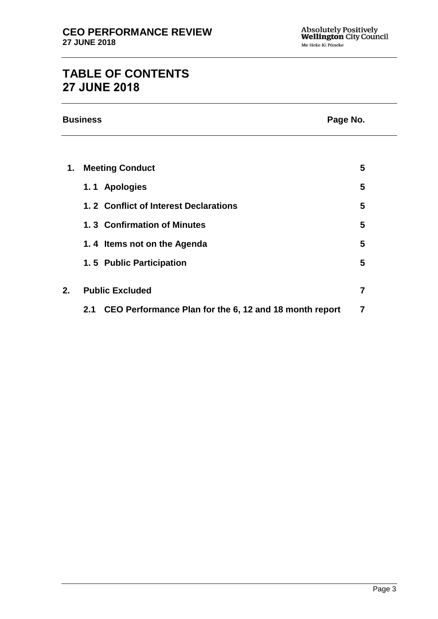# **TABLE OF CONTENTS 27 JUNE 2018**

|    | <b>Business</b><br>Page No.                                   |                |
|----|---------------------------------------------------------------|----------------|
|    |                                                               |                |
| 1. | <b>Meeting Conduct</b>                                        | 5              |
|    | 1.1 Apologies                                                 | 5              |
|    | 1.2 Conflict of Interest Declarations                         | 5              |
|    | 1.3 Confirmation of Minutes                                   | 5              |
|    | 1.4 Items not on the Agenda                                   | 5              |
|    | 1.5 Public Participation                                      | 5              |
| 2. | <b>Public Excluded</b>                                        | $\overline{7}$ |
|    | CEO Performance Plan for the 6, 12 and 18 month report<br>2.1 | 7              |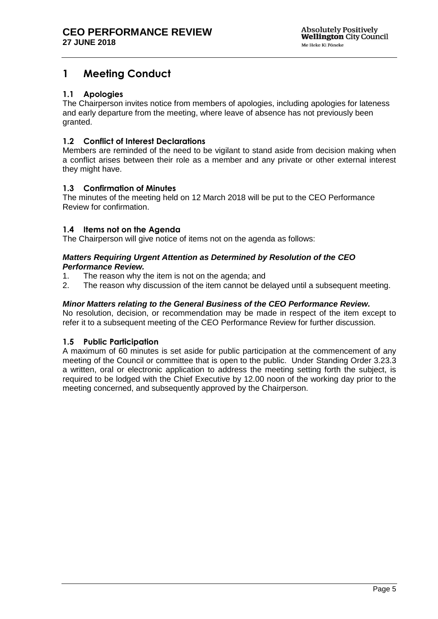# <span id="page-4-0"></span>**1 Meeting Conduct**

#### <span id="page-4-1"></span>**1.1 Apologies**

The Chairperson invites notice from members of apologies, including apologies for lateness and early departure from the meeting, where leave of absence has not previously been granted.

#### <span id="page-4-2"></span>**1.2 Conflict of Interest Declarations**

Members are reminded of the need to be vigilant to stand aside from decision making when a conflict arises between their role as a member and any private or other external interest they might have.

#### <span id="page-4-3"></span>**1.3 Confirmation of Minutes**

The minutes of the meeting held on 12 March 2018 will be put to the CEO Performance Review for confirmation.

#### <span id="page-4-5"></span>**1.4 Items not on the Agenda**

The Chairperson will give notice of items not on the agenda as follows:

#### *Matters Requiring Urgent Attention as Determined by Resolution of the CEO Performance Review.*

- 1. The reason why the item is not on the agenda; and
- 2. The reason why discussion of the item cannot be delayed until a subsequent meeting.

#### *Minor Matters relating to the General Business of the CEO Performance Review.*

No resolution, decision, or recommendation may be made in respect of the item except to refer it to a subsequent meeting of the CEO Performance Review for further discussion.

#### <span id="page-4-4"></span>**1.5 Public Participation**

A maximum of 60 minutes is set aside for public participation at the commencement of any meeting of the Council or committee that is open to the public. Under Standing Order 3.23.3 a written, oral or electronic application to address the meeting setting forth the subject, is required to be lodged with the Chief Executive by 12.00 noon of the working day prior to the meeting concerned, and subsequently approved by the Chairperson.